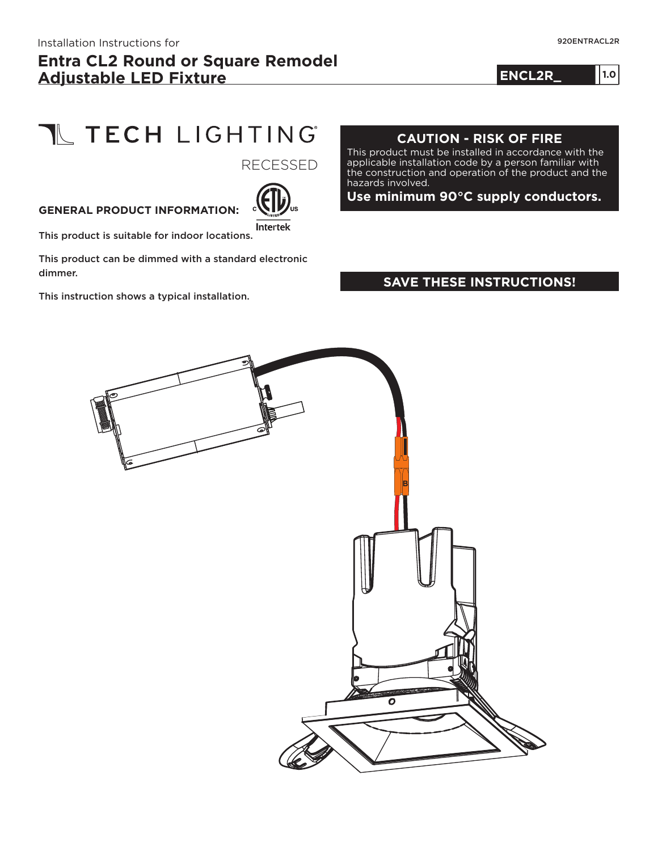**ENCL2R\_ 1.0**

**1.0**

# T TECH LIGHTING

RECESSED

#### **GENERAL PRODUCT INFORMATION:**



This product is suitable for indoor locations.

This product can be dimmed with a standard electronic dimmer.

This instruction shows a typical installation.

#### **CAUTION - RISK OF FIRE**

This product must be installed in accordance with the applicable installation code by a person familiar with the construction and operation of the product and the hazards involved.

**Use minimum 90°C supply conductors.**

#### **SAVE THESE INSTRUCTIONS!**

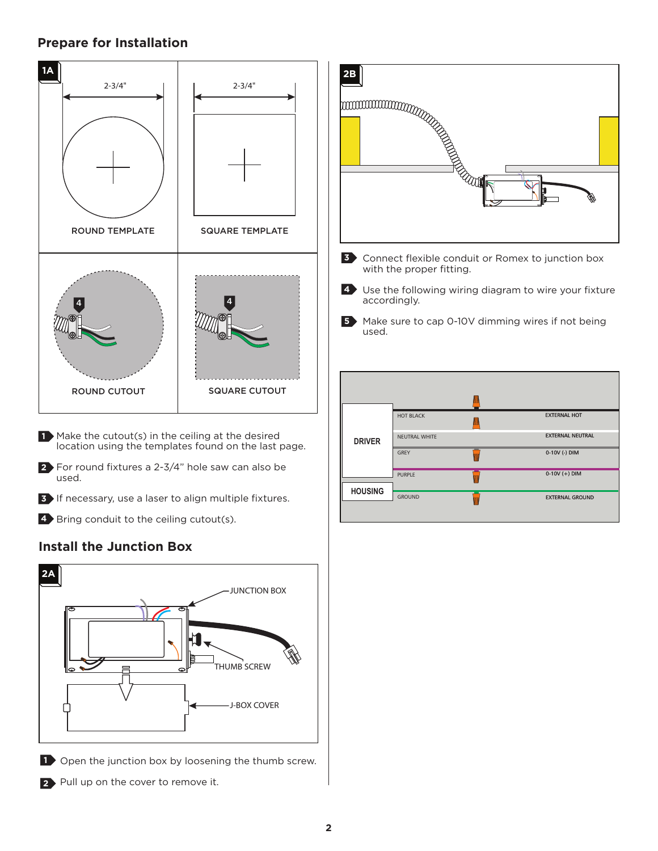#### **Prepare for Installation**



- **1** Make the cutout(s) in the ceiling at the desired location using the templates found on the last page.
- **2** For round fixtures a 2-3/4" hole saw can also be used.
- **3** If necessary, use a laser to align multiple fixtures.
- 4 Bring conduit to the ceiling cutout(s).

#### **Install the Junction Box**



- **1** Open the junction box by loosening the thumb screw.
- 2 Pull up on the cover to remove it.



- Use the following wiring diagram to wire your fixture **4** accordingly.
- 5 Make sure to cap 0-10V dimming wires if not being used.

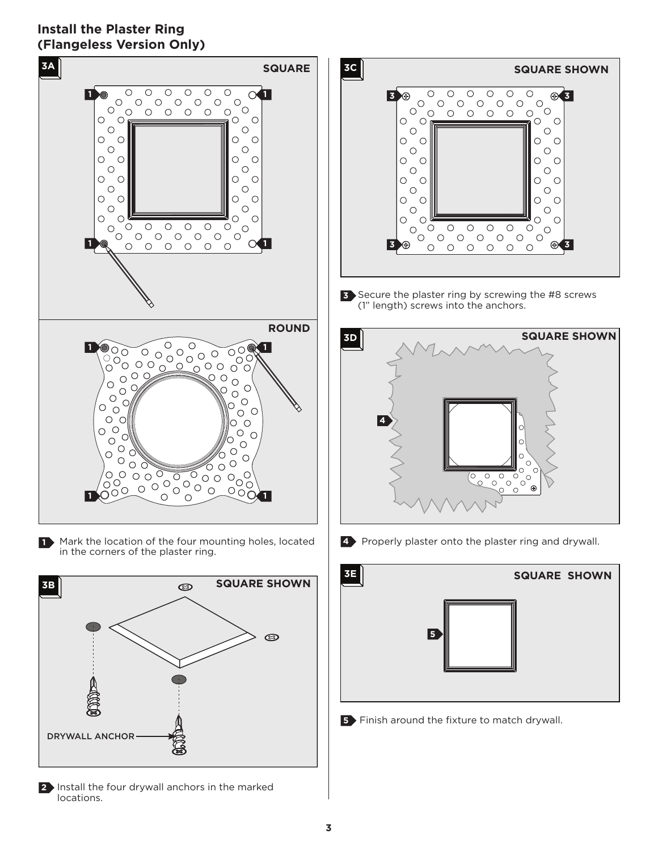### **Install the Plaster Ring (Flangeless Version Only)**





**2** Install the four drywall anchors in the marked locations.



Secure the plaster ring by screwing the #8 screws **3** (1" length) screws into the anchors.



**4** Properly plaster onto the plaster ring and drywall.



**5** Finish around the fixture to match drywall.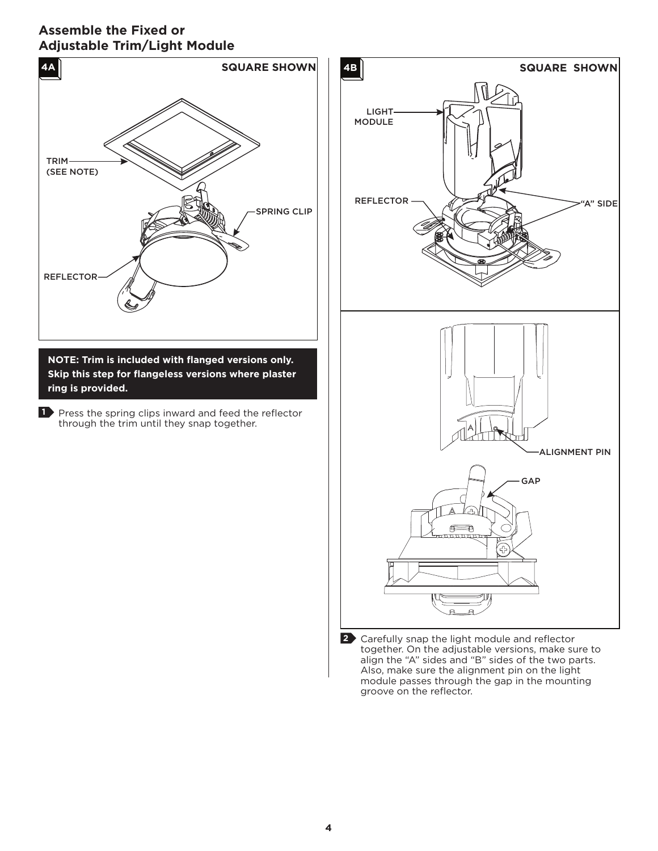### **Assemble the Fixed or Adjustable Trim/Light Module**



**NOTE: Trim is included with flanged versions only. Skip this step for flangeless versions where plaster ring is provided.**

**1** Press the spring clips inward and feed the reflector through the trim until they snap together.



Carefully snap the light module and reflector **2** together. On the adjustable versions, make sure to align the "A" sides and "B" sides of the two parts. Also, make sure the alignment pin on the light module passes through the gap in the mounting groove on the reflector.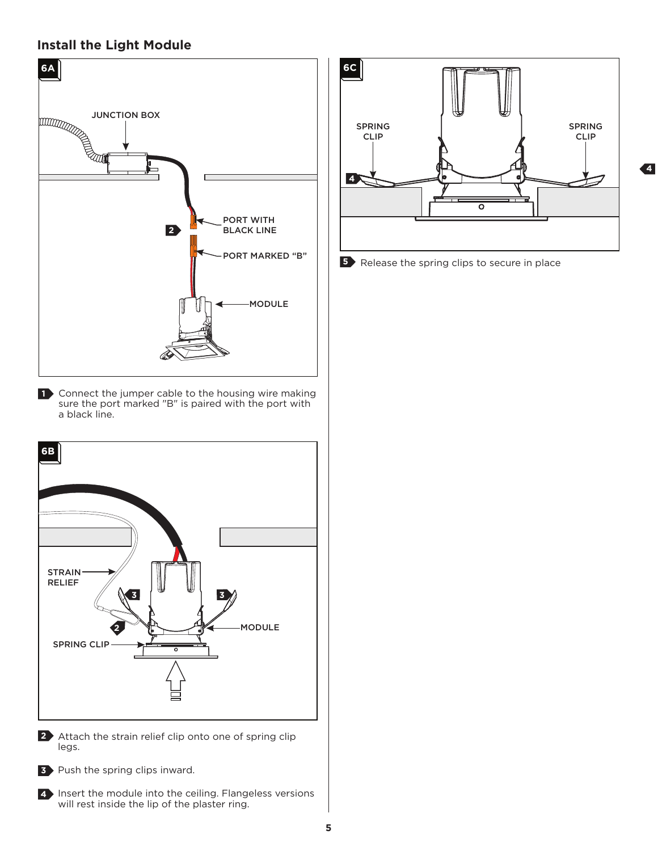#### **Install the Light Module**



1 Connect the jumper cable to the housing wire making sure the port marked "B" is paired with the port with a black line.



2 Attach the strain relief clip onto one of spring clip legs.



**3** Push the spring clips inward.



4 Insert the module into the ceiling. Flangeless versions will rest inside the lip of the plaster ring.



**4**

**5** Release the spring clips to secure in place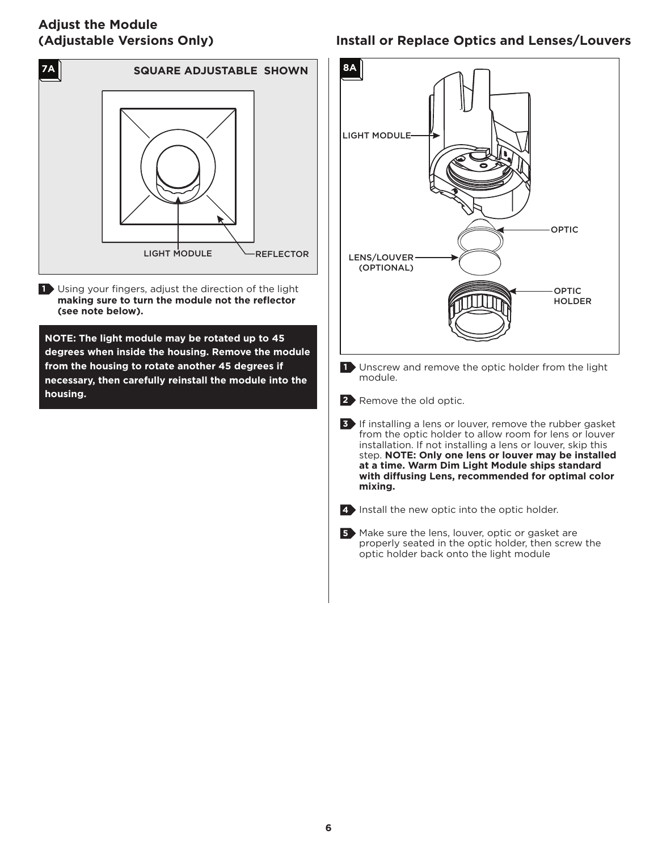### **Adjust the Module (Adjustable Versions Only)**



Using your fingers, adjust the direction of the light **1 making sure to turn the module not the reflector (see note below).**

**NOTE: The light module may be rotated up to 45 degrees when inside the housing. Remove the module from the housing to rotate another 45 degrees if necessary, then carefully reinstall the module into the housing.**

# **Install or Replace Optics and Lenses/Louvers**





5 Make sure the lens, louver, optic or gasket are properly seated in the optic holder, then screw the optic holder back onto the light module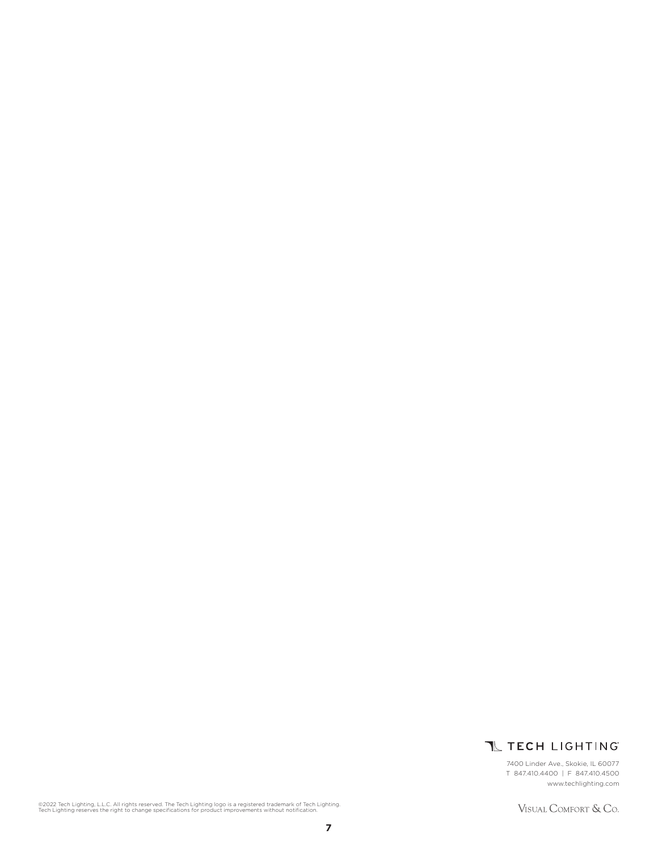

7400 Linder Ave., Skokie, IL 60077 T 847.410.4400 | F 847.410.4500 www.techlighting.com